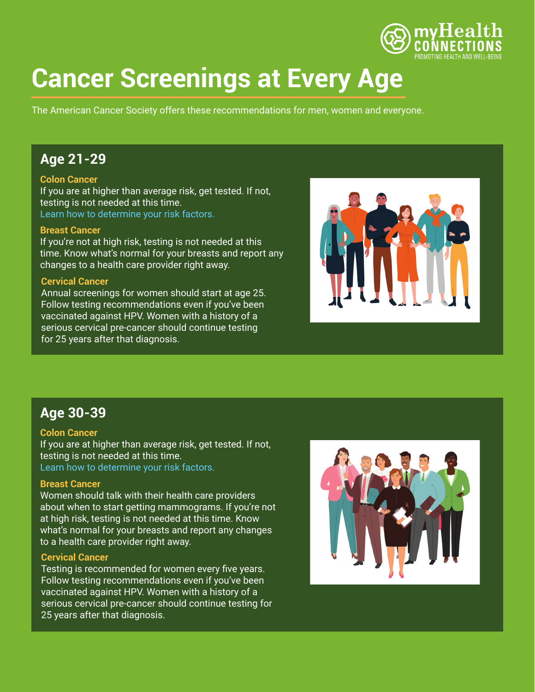

# **Cancer Screenings at Every Age**

The American Cancer Society offers these recommendations for men, women and everyone.

## **Age 21-29**

#### **Colon Cancer**

If you are at higher than average risk, get tested. If not, testing is not needed at this time. [Learn how to determine your risk factors.](https://www.cancer.org/cancer/colon-rectal-cancer/detection-diagnosis-staging/acs-recommendations.html)

#### **Breast Cancer**

If you're not at high risk, testing is not needed at this time. Know what's normal for your breasts and report any changes to a health care provider right away.

#### **Cervical Cancer**

Annual screenings for women should start at age 25. Follow testing recommendations even if you've been vaccinated against HPV. Women with a history of a serious cervical pre-cancer should continue testing for 25 years after that diagnosis.



## **Age 30-39**

#### **Colon Cancer**

If you are at higher than average risk, get tested. If not, testing is not needed at this time. [Learn how to determine your risk factors.](https://www.cancer.org/cancer/colon-rectal-cancer/detection-diagnosis-staging/acs-recommendations.html)

#### **Breast Cancer**

Women should talk with their health care providers about when to start getting mammograms. If you're not at high risk, testing is not needed at this time. Know what's normal for your breasts and report any changes to a health care provider right away.

#### **Cervical Cancer**

Testing is recommended for women every five years. Follow testing recommendations even if you've been vaccinated against HPV. Women with a history of a serious cervical pre-cancer should continue testing for 25 years after that diagnosis.

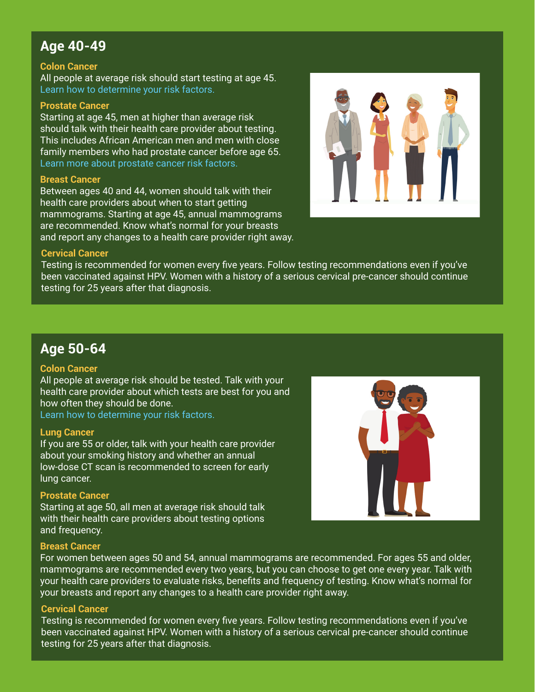## **Age 40-49**

#### **Colon Cancer**

All people at average risk should start testing at age 45. [Learn how to determine your risk factors.](https://www.cancer.org/cancer/colon-rectal-cancer/detection-diagnosis-staging/acs-recommendations.html)

#### **Prostate Cancer**

Starting at age 45, men at higher than average risk should talk with their health care provider about testing. This includes African American men and men with close family members who had prostate cancer before age 65. [Learn more about prostate cancer risk factors.](https://www.cancer.org/cancer/prostate-cancer/causes-risks-prevention/risk-factors.html)

#### **Breast Cancer**

Between ages 40 and 44, women should talk with their health care providers about when to start getting mammograms. Starting at age 45, annual mammograms are recommended. Know what's normal for your breasts and report any changes to a health care provider right away.



#### **Cervical Cancer**

Testing is recommended for women every five years. Follow testing recommendations even if you've been vaccinated against HPV. Women with a history of a serious cervical pre-cancer should continue testing for 25 years after that diagnosis.

## **Age 50-64**

#### **Colon Cancer**

All people at average risk should be tested. Talk with your health care provider about which tests are best for you and how often they should be done. [Learn how to determine your risk factors.](https://www.cancer.org/cancer/colon-rectal-cancer/detection-diagnosis-staging/acs-recommendations.html)

#### **Lung Cancer**

If you are 55 or older, talk with your health care provider about your smoking history and whether an annual low-dose CT scan is recommended to screen for early lung cancer.

#### **Prostate Cancer**

Starting at age 50, all men at average risk should talk with their health care providers about testing options and frequency.



#### **Breast Cancer**

For women between ages 50 and 54, annual mammograms are recommended. For ages 55 and older, mammograms are recommended every two years, but you can choose to get one every year. Talk with your health care providers to evaluate risks, benefits and frequency of testing. Know what's normal for your breasts and report any changes to a health care provider right away.

#### **Cervical Cancer**

Testing is recommended for women every five years. Follow testing recommendations even if you've been vaccinated against HPV. Women with a history of a serious cervical pre-cancer should continue testing for 25 years after that diagnosis.